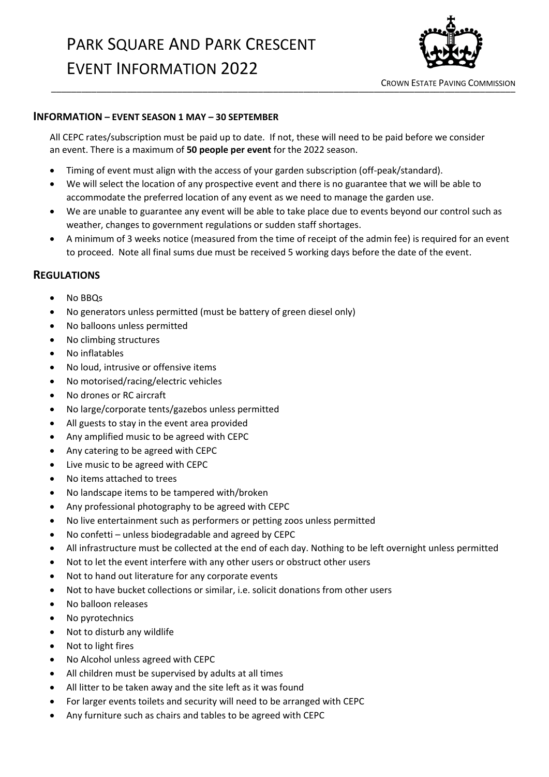

\_\_\_\_\_\_\_\_\_\_\_\_\_\_\_\_\_\_\_\_\_\_\_\_\_\_\_\_\_\_\_\_\_\_\_\_\_\_\_\_\_\_\_\_\_\_\_\_\_\_\_\_\_\_\_\_\_\_\_\_\_\_\_\_\_\_\_\_\_\_\_\_\_\_\_\_\_\_\_\_\_\_\_\_\_\_\_\_\_\_\_\_ CROWN ESTATE PAVING COMMISSION

## **INFORMATION – EVENT SEASON 1 MAY – 30 SEPTEMBER**

All CEPC rates/subscription must be paid up to date. If not, these will need to be paid before we consider an event. There is a maximum of **50 people per event** for the 2022 season.

- Timing of event must align with the access of your garden subscription (off-peak/standard).
- We will select the location of any prospective event and there is no guarantee that we will be able to accommodate the preferred location of any event as we need to manage the garden use.
- We are unable to guarantee any event will be able to take place due to events beyond our control such as weather, changes to government regulations or sudden staff shortages.
- A minimum of 3 weeks notice (measured from the time of receipt of the admin fee) is required for an event to proceed. Note all final sums due must be received 5 working days before the date of the event.

## **REGULATIONS**

- No BBQs
- No generators unless permitted (must be battery of green diesel only)
- No balloons unless permitted
- No climbing structures
- No inflatables
- No loud, intrusive or offensive items
- No motorised/racing/electric vehicles
- No drones or RC aircraft
- No large/corporate tents/gazebos unless permitted
- All guests to stay in the event area provided
- Any amplified music to be agreed with CEPC
- Any catering to be agreed with CEPC
- Live music to be agreed with CEPC
- No items attached to trees
- No landscape items to be tampered with/broken
- Any professional photography to be agreed with CEPC
- No live entertainment such as performers or petting zoos unless permitted
- No confetti unless biodegradable and agreed by CEPC
- All infrastructure must be collected at the end of each day. Nothing to be left overnight unless permitted
- Not to let the event interfere with any other users or obstruct other users
- Not to hand out literature for any corporate events
- Not to have bucket collections or similar, i.e. solicit donations from other users
- No balloon releases
- No pyrotechnics
- Not to disturb any wildlife
- Not to light fires
- No Alcohol unless agreed with CEPC
- All children must be supervised by adults at all times
- All litter to be taken away and the site left as it was found
- For larger events toilets and security will need to be arranged with CEPC
- Any furniture such as chairs and tables to be agreed with CEPC